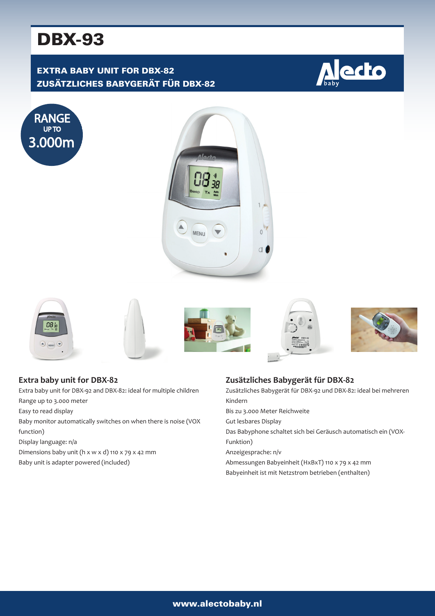# DBX-93

# EXTRA BABY UNIT FOR DBX-82 ZUSÄTZLICHES BABYGERÄT FÜR DBX-82

















## **Extra baby unit for DBX-82**

Extra baby unit for DBX-92 and DBX-82: ideal for multiple children

- Range up to 3.000 meter
- Easy to read display

Baby monitor automatically switches on when there is noise (VOX function)

Display language: n/a

Dimensions baby unit (h x w x d) 110 x 79 x 42 mm Baby unit is adapter powered (included)

### **Zusätzliches Babygerät für DBX-82**

Zusätzliches Babygerät für DBX-92 und DBX-82: ideal bei mehreren Kindern Bis zu 3.000 Meter Reichweite Gut lesbares Display Das Babyphone schaltet sich bei Geräusch automatisch ein (VOX-Funktion) Anzeigesprache: n/v

Abmessungen Babyeinheit (HxBxT) 110 x 79 x 42 mm

Babyeinheit ist mit Netzstrom betrieben (enthalten)